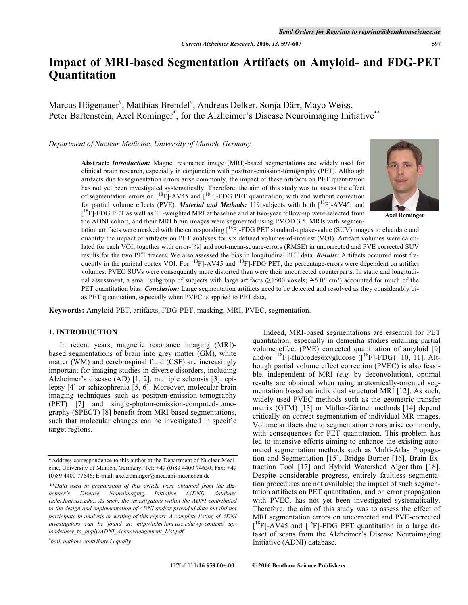# **Impact of MRI-based Segmentation Artifacts on Amyloid- and FDG-PET Quantitation**

Marcus Högenauer<sup>#</sup>, Matthias Brendel<sup>#</sup>, Andreas Delker, Sonja Därr, Mayo Weiss, Peter Bartenstein, Axel Rominger<sup>\*</sup>, for the Alzheimer's Disease Neuroimaging Initiative<sup>\*\*</sup>

*Department of Nuclear Medicine, University of Munich, Germany* 

**Abstract:** *Introduction:* Magnet resonance image (MRI)-based segmentations are widely used for clinical brain research, especially in conjunction with positron-emission-tomography (PET). Although artifacts due to segmentation errors arise commonly, the impact of these artifacts on PET quantitation has not yet been investigated systematically. Therefore, the aim of this study was to assess the effect of segmentation errors on  $\left[^{18}F\right]$ -AV45 and  $\left[^{18}F\right]$ -FDG PET quantitation, with and without correction for partial volume effects (PVE). *Material and Methods:* 119 subjects with both  $\int_1^{18}$ F]-AV45, and [<sup>18</sup>F]-FDG PET as well as T1-weighted MRI at baseline and at two-year follow-up were selected from the ADNI cohort, and their MRI brain images were segmented using PMOD 3.5. MRIs with segmen-



**Axel Rominger** 

tation artifacts were masked with the corresponding  $[{}^{18}F]$ -FDG PET standard-uptake-value (SUV) images to elucidate and quantify the impact of artifacts on PET analyses for six defined volumes-of-interest (VOI). Artifact volumes were calculated for each VOI, together with error-[%] and root-mean-square-errors (RMSE) in uncorrected and PVE corrected SUV results for the two PET tracers. We also assessed the bias in longitudinal PET data. *Results:* Artifacts occurred most frequently in the parietal cortex VOI. For  $[{}^{18}F]$ -AV45 and  $[{}^{18}F]$ -FDG PET, the percentage-errors were dependent on artifact volumes. PVEC SUVs were consequently more distorted than were their uncorrected counterparts. In static and longitudinal assessment, a small subgroup of subjects with large artifacts (≥1500 voxels; ≙5.06 cm<sup>3</sup>) accounted for much of the PET quantitation bias. *Conclusion:* Large segmentation artifacts need to be detected and resolved as they considerably bias PET quantitation, especially when PVEC is applied to PET data.

**Keywords:** Amyloid-PET, artifacts, FDG-PET, masking, MRI, PVEC, segmentation.

# **1. INTRODUCTION**

In recent years, magnetic resonance imaging (MRI) based segmentations of brain into grey matter (GM), white matter (WM) and cerebrospinal fluid (CSF) are increasingly important for imaging studies in diverse disorders, including Alzheimer's disease (AD) [1, 2], multiple sclerosis [3], epilepsy [4] or schizophrenia [5, 6]. Moreover, molecular brain imaging techniques such as positron-emission-tomography (PET) [7] and single-photon-emission-computed-tomography (SPECT) [8] benefit from MRI-based segmentations, such that molecular changes can be investigated in specific target regions.

*# both authors contributed equally* 

 Indeed, MRI-based segmentations are essential for PET quantitation, especially in dementia studies entailing partial volume effect (PVE) corrected quantitation of amyloid [9] and/or  $\lceil {^{18}F} \rceil$ -fluorodesoxyglucose ( $\lceil {^{18}F} \rceil$ -FDG) [10, 11]. Although partial volume effect correction (PVEC) is also feasible, independent of MRI (*e.g.* by deconvolution), optimal results are obtained when using anatomically-oriented segmentation based on individual structural MRI [12]. As such, widely used PVEC methods such as the geometric transfer matrix (GTM) [13] or Müller-Gärtner methods [14] depend critically on correct segmentation of individual MR images. Volume artifacts due to segmentation errors arise commonly, with consequences for PET quantitation. This problem has led to intensive efforts aiming to enhance the existing automated segmentation methods such as Multi-Atlas Propagation and Segmentation [15], Bridge Burner [16], Brain Extraction Tool [17] and Hybrid Watershed Algorithm [18]. Despite considerable progress, entirely faultless segmentation procedures are not available; the impact of such segmentation artifacts on PET quantitation, and on error propagation with PVEC, has not yet been investigated systematically. Therefore, the aim of this study was to assess the effect of MRI segmentation errors on uncorrected and PVE-corrected  $[$ <sup>18</sup>F]-AV45 and  $[$ <sup>18</sup>F]-FDG PET quantitation in a large dataset of scans from the Alzheimer's Disease Neuroimaging Initiative (ADNI) database.

<sup>\*</sup>Address correspondence to this author at the Department of Nuclear Medicine, University of Munich, Germany; Tel: +49 (0)89 4400 74650; Fax: +49 (0)89 4400 77646; E-mail: axel.rominger@med.uni-muenchen.de

*<sup>\*\*</sup>Data used in preparation of this article were obtained from the Alzheimer's Disease Neuroimaging Initiative (ADNI) database (adni.loni.usc.edu). As such, the investigators within the ADNI contributed to the design and implementation of ADNI and/or provided data but did not participate in analysis or writing of this report. A complete listing of ADNI investigators can be found at: http://adni.loni.usc.edu/wp-content/ uploads/how\_to\_apply/ADNI\_Acknowledgement\_List.pdf*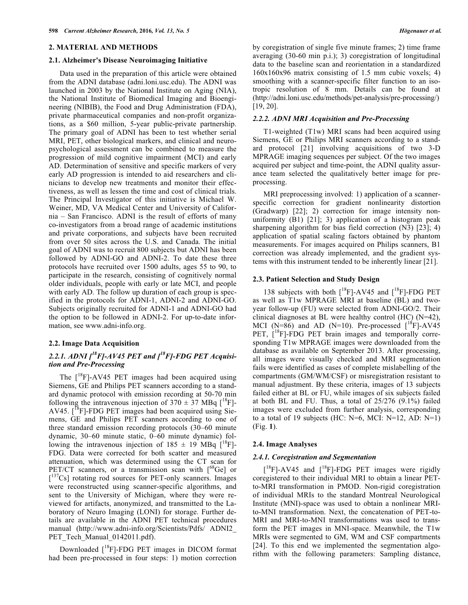#### **2. MATERIAL AND METHODS**

#### **2.1. Alzheimer's Disease Neuroimaging Initiative**

Data used in the preparation of this article were obtained from the ADNI database (adni.loni.usc.edu). The ADNI was launched in 2003 by the National Institute on Aging (NIA), the National Institute of Biomedical Imaging and Bioengineering (NIBIB), the Food and Drug Administration (FDA), private pharmaceutical companies and non-profit organizations, as a \$60 million, 5-year public-private partnership. The primary goal of ADNI has been to test whether serial MRI, PET, other biological markers, and clinical and neuropsychological assessment can be combined to measure the progression of mild cognitive impairment (MCI) and early AD. Determination of sensitive and specific markers of very early AD progression is intended to aid researchers and clinicians to develop new treatments and monitor their effectiveness, as well as lessen the time and cost of clinical trials. The Principal Investigator of this initiative is Michael W. Weiner, MD, VA Medical Center and University of California – San Francisco. ADNI is the result of efforts of many co-investigators from a broad range of academic institutions and private corporations, and subjects have been recruited from over 50 sites across the U.S. and Canada. The initial goal of ADNI was to recruit 800 subjects but ADNI has been followed by ADNI-GO and ADNI-2. To date these three protocols have recruited over 1500 adults, ages 55 to 90, to participate in the research, consisting of cognitively normal older individuals, people with early or late MCI, and people with early AD. The follow up duration of each group is specified in the protocols for ADNI-1, ADNI-2 and ADNI-GO. Subjects originally recruited for ADNI-1 and ADNI-GO had the option to be followed in ADNI-2. For up-to-date information, see www.adni-info.org.

## **2.2. Image Data Acquisition**

# *2.2.1. ADNI [18F]-AV45 PET and [18F]-FDG PET Acquisition and Pre-Processing*

The  $\int^{18}$ F]-AV45 PET images had been acquired using Siemens, GE and Philips PET scanners according to a standard dynamic protocol with emission recording at 50-70 min following the intravenous injection of  $370 \pm 37$  MBq  $\binom{18}{1}$ -AV45. [<sup>18</sup>F]-FDG PET images had been acquired using Siemens, GE and Philips PET scanners according to one of three standard emission recording protocols (30–60 minute dynamic, 30–60 minute static, 0–60 minute dynamic) following the intravenous injection of  $185 \pm 19$  MBq  $\binom{18}{1}$ -FDG. Data were corrected for both scatter and measured attenuation, which was determined using the CT scan for PET/CT scanners, or a transmission scan with  $[68]$  or [<sup>137</sup>Cs] rotating rod sources for PET-only scanners. Images were reconstructed using scanner-specific algorithms, and sent to the University of Michigan, where they were reviewed for artifacts, anonymized, and transmitted to the Laboratory of Neuro Imaging (LONI) for storage. Further details are available in the ADNI PET technical procedures manual (http://www.adni-info.org/Scientists/Pdfs/ ADNI2\_ PET Tech Manual 0142011.pdf).

Downloaded  $\int_{0}^{18}F$ ]-FDG PET images in DICOM format had been pre-processed in four steps: 1) motion correction

by coregistration of single five minute frames; 2) time frame averaging (30-60 min p.i.); 3) coregistration of longitudinal data to the baseline scan and reorientation in a standardized 160x160x96 matrix consisting of 1.5 mm cubic voxels; 4) smoothing with a scanner-specific filter function to an isotropic resolution of 8 mm. Details can be found at (http://adni.loni.usc.edu/methods/pet-analysis/pre-processing/) [19, 20].

#### *2.2.2. ADNI MRI Acquisition and Pre-Processing*

T1-weighted (T1w) MRI scans had been acquired using Siemens, GE or Philips MRI scanners according to a standard protocol [21] involving acquisitions of two 3-D MPRAGE imaging sequences per subject. Of the two images acquired per subject and time-point, the ADNI quality assurance team selected the qualitatively better image for preprocessing.

MRI preprocessing involved: 1) application of a scannerspecific correction for gradient nonlinearity distortion (Gradwarp) [22]; 2) correction for image intensity nonuniformity  $(B1)$  [21]; 3) application of a histogram peak sharpening algorithm for bias field correction (N3) [23]; 4) application of spatial scaling factors obtained by phantom measurements. For images acquired on Philips scanners, B1 correction was already implemented, and the gradient systems with this instrument tended to be inherently linear [21].

#### **2.3. Patient Selection and Study Design**

138 subjects with both  $\int_{18}^{18}$ F]-AV45 and  $\int_{18}^{18}$ F]-FDG PET as well as T1w MPRAGE MRI at baseline (BL) and twoyear follow-up (FU) were selected from ADNI-GO/2. Their clinical diagnoses at BL were healthy control (HC) (N=42), MCI (N=86) and AD (N=10). Pre-processed  $\int_0^{18}F$ ]-AV45 PET,  $\int_{0}^{18}$ F]-FDG PET brain images and temporally corresponding T1w MPRAGE images were downloaded from the database as available on September 2013. After processing, all images were visually checked and MRI segmentation fails were identified as cases of complete mislabelling of the compartments (GM/WM/CSF) or misregistration resistant to manual adjustment. By these criteria, images of 13 subjects failed either at BL or FU, while images of six subjects failed at both BL and FU. Thus, a total of 25/276 (9.1%) failed images were excluded from further analysis, corresponding to a total of 19 subjects (HC:  $N=6$ , MCI:  $N=12$ , AD:  $N=1$ ) (Fig. **1**).

#### **2.4. Image Analyses**

#### *2.4.1. Coregistration and Segmentation*

 $[$ <sup>18</sup>F]-AV45 and  $[$ <sup>18</sup>F]-FDG PET images were rigidly coregistered to their individual MRI to obtain a linear PETto-MRI transformation in PMOD. Non-rigid coregistration of individual MRIs to the standard Montreal Neurological Institute (MNI)-space was used to obtain a nonlinear MRIto-MNI transformation. Next, the concatenation of PET-to-MRI and MRI-to-MNI transformations was used to transform the PET images in MNI-space. Meanwhile, the T1w MRIs were segmented to GM, WM and CSF compartments [24]. To this end we implemented the segmentation algorithm with the following parameters: Sampling distance,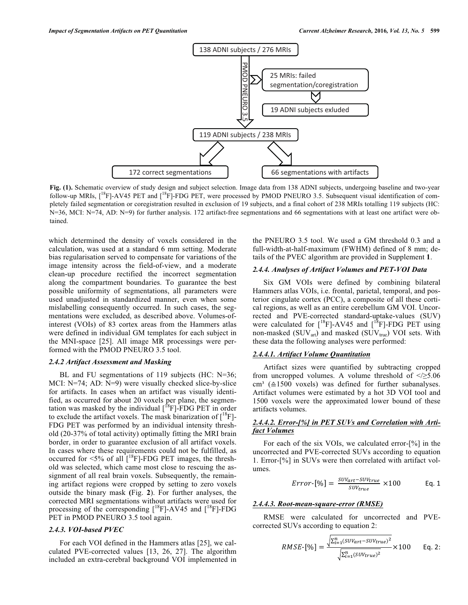

**Fig. (1).** Schematic overview of study design and subject selection. Image data from 138 ADNI subjects, undergoing baseline and two-year follow-up MRIs,  $[18F]$ -AV45 PET and  $[18F]$ -FDG PET, were processed by PMOD PNEURO 3.5. Subsequent visual identification of completely failed segmentation or coregistration resulted in exclusion of 19 subjects, and a final cohort of 238 MRIs totalling 119 subjects (HC: N=36, MCI: N=74, AD: N=9) for further analysis. 172 artifact-free segmentations and 66 segmentations with at least one artifact were obtained.

which determined the density of voxels considered in the calculation, was used at a standard 6 mm setting. Moderate bias regularisation served to compensate for variations of the image intensity across the field-of-view, and a moderate clean-up procedure rectified the incorrect segmentation along the compartment boundaries. To guarantee the best possible uniformity of segmentations, all parameters were used unadjusted in standardized manner, even when some mislabelling consequently occurred. In such cases, the segmentations were excluded, as described above. Volumes-ofinterest (VOIs) of 83 cortex areas from the Hammers atlas were defined in individual GM templates for each subject in the MNI-space [25]. All image MR processings were performed with the PMOD PNEURO 3.5 tool.

#### *2.4.2 Artifact Assessment and Masking*

BL and FU segmentations of 119 subjects (HC: N=36; MCI: N=74; AD: N=9) were visually checked slice-by-slice for artifacts. In cases when an artifact was visually identified, as occurred for about 20 voxels per plane, the segmentation was masked by the individual  $[{}^{18}F]$ -FDG PET in order to exclude the artifact voxels. The mask binarization of  $\binom{18}{1}$ -FDG PET was performed by an individual intensity threshold (20-37% of total activity) optimally fitting the MRI brain border, in order to guarantee exclusion of all artifact voxels. In cases where these requirements could not be fulfilled, as occurred for  $\langle 5\%$  of all  $\int^18F$ ]-FDG PET images, the threshold was selected, which came most close to rescuing the assignment of all real brain voxels. Subsequently, the remaining artifact regions were cropped by setting to zero voxels outside the binary mask **(**Fig. **2**). For further analyses, the corrected MRI segmentations without artifacts were used for processing of the corresponding  $\int^{18}F$ ]-AV45 and  $\int^{18}F$ ]-FDG PET in PMOD PNEURO 3.5 tool again.

## *2.4.3. VOI-based PVEC*

For each VOI defined in the Hammers atlas [25], we calculated PVE-corrected values [13, 26, 27]. The algorithm included an extra-cerebral background VOI implemented in the PNEURO 3.5 tool. We used a GM threshold 0.3 and a full-width-at-half-maximum (FWHM) defined of 8 mm; details of the PVEC algorithm are provided in Supplement **1**.

## *2.4.4. Analyses of Artifact Volumes and PET-VOI Data*

Six GM VOIs were defined by combining bilateral Hammers atlas VOIs, i.e. frontal, parietal, temporal, and posterior cingulate cortex (PCC), a composite of all these cortical regions, as well as an entire cerebellum GM VOI. Uncorrected and PVE-corrected standard-uptake-values (SUV) were calculated for  $[^{18}F]$ -AV45 and  $[^{18}F]$ -FDG PET using non-masked ( $\text{SUV}_{\text{art}}$ ) and masked ( $\text{SUV}_{\text{true}}$ ) VOI sets. With these data the following analyses were performed:

#### *2.4.4.1. Artifact Volume Quantitation*

Artifact sizes were quantified by subtracting cropped from uncropped volumes. A volume threshold of  $\leq$  5.06 cm<sup>3</sup> ( $\triangle 1500$  voxels) was defined for further subanalyses. Artifact volumes were estimated by a hot 3D VOI tool and 1500 voxels were the approximated lower bound of these artifacts volumes.

# *2.4.4.2. Error-[%] in PET SUVs and Correlation with Artifact Volumes*

For each of the six VOIs, we calculated error-[%] in the uncorrected and PVE-corrected SUVs according to equation 1. Error-[%] in SUVs were then correlated with artifact volumes.

$$
Error\text{-}[\%] = \frac{\text{SUV}_{art} - \text{SUV}_{true}}{\text{SUV}_{true}} \times 100 \qquad \text{Eq. 1}
$$

## *2.4.4.3. Root-mean-square-error (RMSE)*

RMSE were calculated for uncorrected and PVEcorrected SUVs according to equation 2:

$$
RMSE\text{-}[\%] = \frac{\sqrt{\sum_{i=1}^{n} (SUV_{art} - SUV_{true})^2}}{\sqrt{\sum_{i=1}^{n} (SUV_{true})^2}} \times 100 \quad \text{Eq. 2:}
$$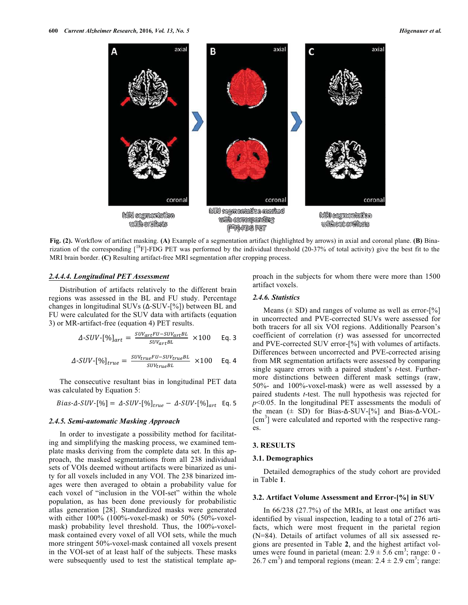

**Fig. (2).** Workflow of artifact masking. **(A)** Example of a segmentation artifact (highlighted by arrows) in axial and coronal plane. **(B)** Binarization of the corresponding  $\lceil {^{18}F}\rceil$ -FDG PET was performed by the individual threshold (20-37% of total activity) give the best fit to the MRI brain border. **(C)** Resulting artifact-free MRI segmentation after cropping process.

## *2.4.4.4. Longitudinal PET Assessment*

Distribution of artifacts relatively to the different brain regions was assessed in the BL and FU study. Percentage changes in longitudinal SUVs  $(\Delta$ -SUV-[%]) between BL and FU were calculated for the SUV data with artifacts (equation 3) or MR-artifact-free (equation 4) PET results.

$$
\Delta \text{-}SUV \text{-} [\%]_{art} = \frac{SUV_{art}FU - SUV_{art}BL}{SUV_{art}BL} \times 100 \text{ Eq. 3}
$$

$$
\Delta \text{-}SUV \text{-} [\%]_{true} = \frac{s_{UVtrue} \text{FU} \text{-}SUV_{true} \text{B}L}{SUV_{true} \text{B}L} \times 100 \text{ Eq. 4}
$$

The consecutive resultant bias in longitudinal PET data was calculated by Equation 5:

 $Bias-\Delta-SUV-[%] = \Delta-SUV-[%]_{true} - \Delta-SUV-[%]_{art}$  Eq. 5

#### *2.4.5. Semi-automatic Masking Approach*

In order to investigate a possibility method for facilitating and simplifying the masking process, we examined template masks deriving from the complete data set. In this approach, the masked segmentations from all 238 individual sets of VOIs deemed without artifacts were binarized as unity for all voxels included in any VOI. The 238 binarized images were then averaged to obtain a probability value for each voxel of "inclusion in the VOI-set" within the whole population, as has been done previously for probabilistic atlas generation [28]. Standardized masks were generated with either 100% (100%-voxel-mask) or 50% (50%-voxelmask) probability level threshold. Thus, the 100%-voxelmask contained every voxel of all VOI sets, while the much more stringent 50%-voxel-mask contained all voxels present in the VOI-set of at least half of the subjects. These masks were subsequently used to test the statistical template approach in the subjects for whom there were more than 1500 artifact voxels.

## *2.4.6. Statistics*

Means  $(\pm SD)$  and ranges of volume as well as error- $[\%]$ in uncorrected and PVE-corrected SUVs were assessed for both tracers for all six VOI regions. Additionally Pearson's coefficient of correlation (r) was assessed for uncorrected and PVE-corrected SUV error-[%] with volumes of artifacts. Differences between uncorrected and PVE-corrected arising from MR segmentation artifacts were assessed by comparing single square errors with a paired student's *t*-test. Furthermore distinctions between different mask settings (raw, 50%- and 100%-voxel-mask) were as well assessed by a paired students *t*-test. The null hypothesis was rejected for *p*<0.05. In the longitudinal PET assessments the moduli of the mean  $(\pm$  SD) for Bias- $\Delta$ -SUV-[%] and Bias- $\Delta$ -VOL-[cm<sup>3</sup>] were calculated and reported with the respective ranges.

#### **3. RESULTS**

## **3.1. Demographics**

Detailed demographics of the study cohort are provided in Table **1**.

#### **3.2. Artifact Volume Assessment and Error-[%] in SUV**

In 66/238 (27.7%) of the MRIs, at least one artifact was identified by visual inspection, leading to a total of 276 artifacts, which were most frequent in the parietal region (N=84). Details of artifact volumes of all six assessed regions are presented in Table **2**, and the highest artifact volumes were found in parietal (mean:  $2.9 \pm 5.6$  cm<sup>3</sup>; range: 0 -26.7 cm<sup>3</sup>) and temporal regions (mean:  $2.4 \pm 2.9$  cm<sup>3</sup>; range: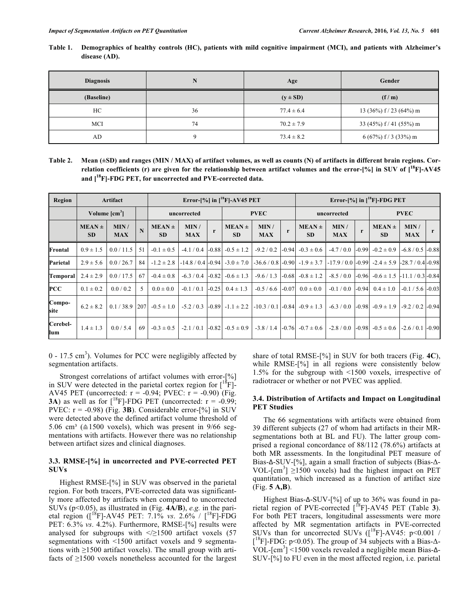| Table 1. | Demographics of healthy controls (HC), patients with mild cognitive impairment (MCI), and patients with Alzheimer's |
|----------|---------------------------------------------------------------------------------------------------------------------|
|          | disease (AD).                                                                                                       |

| <b>Diagnosis</b> | N  | Age            | Gender                  |
|------------------|----|----------------|-------------------------|
| (Baseline)       |    | $(y \pm SD)$   | (f/m)                   |
| HC               | 36 | $77.4 \pm 6.4$ | 13 (36%) $f/23$ (64%) m |
| MCI              | 74 | $70.2 \pm 7.9$ | 33 (45%) $f/41$ (55%) m |
| AD               | a  | $73.4 \pm 8.2$ | $6(67\%)$ f / 3 (33%) m |

**Table 2. Mean (±SD) and ranges (MIN / MAX) of artifact volumes, as well as counts (N) of artifacts in different brain regions. Correlation coefficients (r) are given for the relationship between artifact volumes and the error-[%] in SUV of [18F]-AV45 and [18F]-FDG PET, for uncorrected and PVE-corrected data.** 

| Region          | Artifact                |                    |             | Error- $\left[\% \right]$ in $\left[\begin{matrix} 18 \\ 1 \end{matrix}\right]$ -AV45 PET |                     |         |                         |                    |              | Error- $\lceil\% \rceil$ in $\lceil\frac{^{18}F}{^{18}F} \rceil$ -FDG PET |                     |              |                                            |                      |         |
|-----------------|-------------------------|--------------------|-------------|-------------------------------------------------------------------------------------------|---------------------|---------|-------------------------|--------------------|--------------|---------------------------------------------------------------------------|---------------------|--------------|--------------------------------------------|----------------------|---------|
|                 | Volume $\text{[cm}^3$   |                    |             | uncorrected                                                                               |                     |         | <b>PVEC</b>             |                    |              | uncorrected                                                               |                     |              | <b>PVEC</b>                                |                      |         |
|                 | $MEAN \pm$<br><b>SD</b> | MIN/<br><b>MAX</b> | $\mathbf N$ | $MEAN \pm$<br><b>SD</b>                                                                   | MIN /<br><b>MAX</b> | r       | $MEAN \pm$<br><b>SD</b> | MIN/<br><b>MAX</b> | $\mathbf{r}$ | $MEAN \pm$<br><b>SD</b>                                                   | MIN/<br><b>MAX</b>  | $\mathbf{r}$ | $MEAN \pm$<br><b>SD</b>                    | MIN/<br><b>MAX</b>   | r       |
| Frontal         | $0.9 \pm 1.5$           | 0.0 / 11.5         | 51          | $-0.1 \pm 0.5$                                                                            | $-4.1/0.4$          | $-0.88$ | $-0.5 \pm 1.2$          | $-9.2 / 0.2$       |              | $-0.94$ $-0.3 \pm 0.6$                                                    | $-4.7/0.0$          | $-0.99$      | $-0.2 \pm 0.9$                             | $-6.8 / 0.5$ $-0.88$ |         |
| Parietal        | $2.9 \pm 5.6$           | 0.0 / 26.7         | 84          | $-1.2 \pm 2.8$                                                                            | $-14.8/0.4$ $-0.94$ |         | $-3.0 \pm 7.0$          |                    |              | $-36.6 / 0.8$ $-0.90$ $-1.9 \pm 3.7$                                      | $-17.9/0.0$ $-0.99$ |              | $-2.4 \pm 5.9$ $-28.7/0.4$ $-0.98$         |                      |         |
| Temporal        | $2.4 \pm 2.9$           | 0.0 / 17.5         | 67          | $-0.4 \pm 0.8$                                                                            | $-6.3 / 0.4$        | $-0.82$ | $-0.6 \pm 1.3$          | $-9.6/1.3$         |              | $-0.68$ $-0.8 \pm 1.2$                                                    | $-8.5/0.0$          |              | $-0.96$ $-0.6 \pm 1.5$ $-11.1/0.3$ $-0.84$ |                      |         |
| PCC             | $0.1 \pm 0.2$           | 0.0 / 0.2          | 5           | $0.0 \pm 0.0$                                                                             | $-0.1 / 0.1$        | $-0.25$ | $0.4 \pm 1.3$           | $-0.5/6.6$         | $-0.07$      | $0.0 \pm 0.0$                                                             | $-0.1/0.0$          | $-0.94$      | $0.4 \pm 1.0$                              | $-0.1 / 5.6$ $-0.03$ |         |
| Compo-<br>site  | $6.2 \pm 8.2$           | 0.1 / 38.9         | 207         | $-0.5 \pm 1.0$                                                                            | $-5.2/0.3$          |         | $-0.89$ $-1.1 \pm 2.2$  |                    |              | $-10.3/0.1$ $-0.84$ $-0.9 \pm 1.3$                                        | $-6.3/0.0$          |              | $-0.98$ $-0.9 \pm 1.9$                     | $-9.2 / 0.2$ $-0.94$ |         |
| Cerebel-<br>lum | $1.4 \pm 1.3$           | 0.0 / 5.4          | 69          | $-0.3 \pm 0.5$                                                                            | $-2.1/0.1$          | $-0.82$ | $-0.5 \pm 0.9$          | $-3.8/1.4$         |              | $-0.76$ $-0.7 \pm 0.6$                                                    | $-2.8/0.0$          |              | $-0.98$ $-0.5 \pm 0.6$                     | $-2.6/0.1$           | $-0.90$ |

 $0 - 17.5$  cm<sup>3</sup>). Volumes for PCC were negligibly affected by segmentation artifacts.

Strongest correlations of artifact volumes with error-[%] in SUV were detected in the parietal cortex region for  $\binom{18}{1}$ -AV45 PET (uncorrected:  $r = -0.94$ ; PVEC:  $r = -0.90$ ) (Fig. **3A**) as well as for  $\binom{18}{1}$ -FDG PET (uncorrected:  $r = -0.99$ ; PVEC: r = -0.98) (Fig. **3B**). Considerable error-[%] in SUV were detected above the defined artifact volume threshold of 5.06 cm<sup>3</sup> ( $\triangle$ 1500 voxels), which was present in 9/66 segmentations with artifacts. However there was no relationship between artifact sizes and clinical diagnoses.

## **3.3. RMSE-[%] in uncorrected and PVE-corrected PET SUVs**

Highest RMSE-[%] in SUV was observed in the parietal region. For both tracers, PVE-corrected data was significantly more affected by artifacts when compared to uncorrected SUVs (p<0.05), as illustrated in (Fig. **4A/B**), *e.g.* in the parietal region ([18F]-AV45 PET: 7.1% *vs*. 2.6% / [18F]-FDG PET: 6.3% *vs*. 4.2%). Furthermore, RMSE-[%] results were analysed for subgroups with  $\leq$  21500 artifact voxels (57 segmentations with <1500 artifact voxels and 9 segmentations with ≥1500 artifact voxels). The small group with artifacts of ≥1500 voxels nonetheless accounted for the largest share of total RMSE-[%] in SUV for both tracers (Fig. **4C**), while RMSE-[%] in all regions were consistently below 1.5% for the subgroup with <1500 voxels, irrespective of radiotracer or whether or not PVEC was applied.

## **3.4. Distribution of Artifacts and Impact on Longitudinal PET Studies**

The 66 segmentations with artifacts were obtained from 39 different subjects (27 of whom had artifacts in their MRsegmentations both at BL and FU). The latter group comprised a regional concordance of 88/112 (78.6%) artifacts at both MR assessments. In the longitudinal PET measure of Bias-Δ-SUV-[%], again a small fraction of subjects (Bias-Δ-VOL- $\text{[cm}^3$ ]  $\geq$ 1500 voxels) had the highest impact on PET quantitation, which increased as a function of artifact size (Fig. **5 A,B**).

Highest Bias- $\Delta$ -SUV-[%] of up to 36% was found in parietal region of PVE-corrected [18F]-AV45 PET (Table **3**). For both PET tracers, longitudinal assessments were more affected by MR segmentation artifacts in PVE-corrected SUVs than for uncorrected SUVs  $(I^{18}F]$ -AV45: p<0.001 /  $[$ <sup>18</sup>F]-FDG: p<0.05). The group of 34 subjects with a Bias- $\Delta$ -VOL- $\text{[cm}^3$ ] <1500 voxels revealed a negligible mean Bias- $\Delta$ -SUV-[%] to FU even in the most affected region, i.e. parietal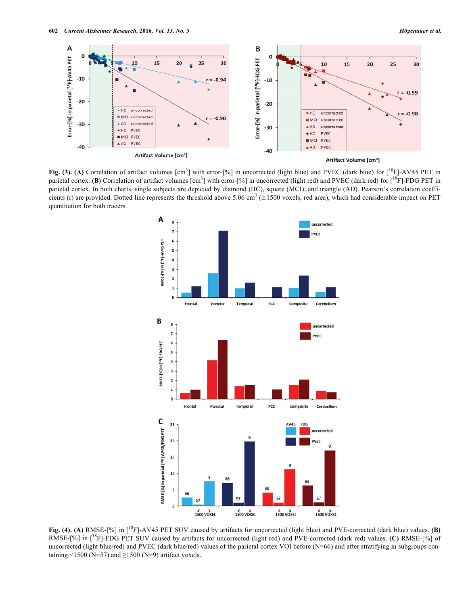

Fig. (3). (A) Correlation of artifact volumes [cm<sup>3</sup>] with error-[%] in uncorrected (light blue) and PVEC (dark blue) for [<sup>18</sup>F]-AV45 PET in parietal cortex. **(B)** Correlation of artifact volumes [cm<sup>3</sup>] with error-[%] in uncorrected (light red) and PVEC (dark red) for [<sup>18</sup>F]-FDG PET in parietal cortex. In both charts, single subjects are depicted by diamond (HC), square (MCI), and triangle (AD). Pearson's correlation coefficients (r) are provided. Dotted line represents the threshold above 5.06 cm<sup>3</sup> ( $\triangle 1500$  voxels, red area), which had considerable impact on PET quantitation for both tracers.



**Fig. (4). (A)** RMSE-[%] in [18F]-AV45 PET SUV caused by artifacts for uncorrected (light blue) and PVE-corrected (dark blue) values. **(B)** RMSE-[%] in [18F]-FDG PET SUV caused by artifacts for uncorrected (light red) and PVE-corrected (dark red) values. **(C)** RMSE-[%] of uncorrected (light blue/red) and PVEC (dark blue/red) values of the parietal cortex VOI before (N=66) and after stratifying in subgroups containing <1500 (N=57) and  $\geq$ 1500 (N=9) artifact voxels.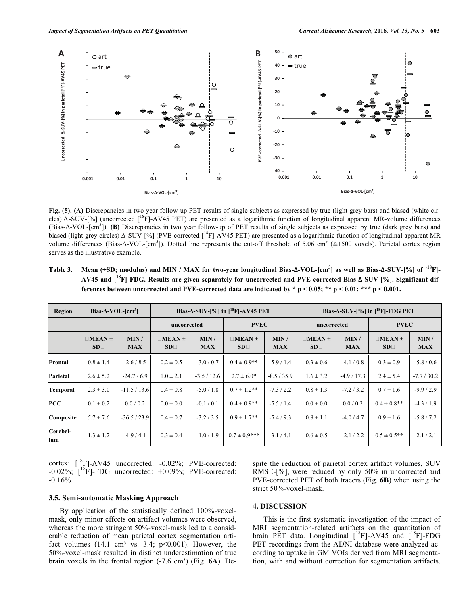

Fig. (5). (A) Discrepancies in two year follow-up PET results of single subjects as expressed by true (light grey bars) and biased (white circles)  $\Delta$ -SUV-[%] (uncorrected [<sup>18</sup>F]-AV45 PET) are presented as a logarithmic function of longitudinal apparent MR-volume differences (Bias-Δ-VOL-[cm<sup>3</sup>]). (B) Discrepancies in two year follow-up of PET results of single subjects as expressed by true (dark grey bars) and biased (light grey circles)  $\Delta$ -SUV-[%] (PVE-corrected [<sup>18</sup>F]-AV45 PET) are presented as a logarithmic function of longitudinal apparent MR volume differences (Bias- $\Delta$ -VOL-[cm<sup>3</sup>]). Dotted line represents the cut-off threshold of 5.06 cm<sup>3</sup> ( $\approx$ 1500 voxels). Parietal cortex region serves as the illustrative example.

| Table 3. Mean ( $\pm$ SD; modulus) and MIN / MAX for two-year longitudinal Bias- $\Delta$ -VOL-[cm <sup>3</sup> ] as well as Bias- $\Delta$ -SUV-[%] of [ <sup>18</sup> F]- |
|-----------------------------------------------------------------------------------------------------------------------------------------------------------------------------|
| AV45 and $\mathrm{I}^{18}\mathrm{Fl-FDG}$ . Results are given separately for uncorrected and PVE-corrected Bias- $\Delta$ -SUV- $\mathrm{[%]}$ . Significant dif-           |
| ferences between uncorrected and PVE-corrected data are indicated by $* p < 0.05$ ; $** p < 0.01$ , $*** p < 0.001$ .                                                       |

| Region          | Bias- $\Delta$ -VOL-[cm <sup>3</sup> ] |                    |                                      |                    | Bias- $\triangle$ -SUV-[%] in [ <sup>18</sup> F]-AV45 PET |                    | Bias- $\triangle$ -SUV-[%] in [ <sup>18</sup> F]-FDG PET |                    |                                      |                    |  |
|-----------------|----------------------------------------|--------------------|--------------------------------------|--------------------|-----------------------------------------------------------|--------------------|----------------------------------------------------------|--------------------|--------------------------------------|--------------------|--|
|                 |                                        |                    | uncorrected                          |                    | <b>PVEC</b>                                               |                    | uncorrected                                              |                    | <b>PVEC</b>                          |                    |  |
|                 | $\Box$ MEAN $\pm$<br>SD <sub>1</sub>   | MIN/<br><b>MAX</b> | $\Box$ MEAN $\pm$<br>SD <sub>1</sub> | MIN/<br><b>MAX</b> | $\Box$ MEAN $\pm$<br>SD <sub>1</sub>                      | MIN/<br><b>MAX</b> | $IMEAN \pm$<br>$SD\square$                               | MIN/<br><b>MAX</b> | $\Box$ MEAN $\pm$<br>SD <sub>1</sub> | MIN/<br><b>MAX</b> |  |
| Frontal         | $0.8 \pm 1.4$                          | $-2.6/8.5$         | $0.2 \pm 0.5$                        | $-3.0 / 0.7$       | $0.4 \pm 0.9**$                                           | $-5.9/1.4$         | $0.3 \pm 0.6$                                            | $-4.1/0.8$         | $0.3 \pm 0.9$                        | $-5.8 / 0.6$       |  |
| Parietal        | $2.6 \pm 5.2$                          | $-24.7/6.9$        | $1.0 \pm 2.1$                        | $-3.5/12.6$        | $2.7 \pm 6.0*$                                            | $-8.5/35.9$        | $1.6 \pm 3.2$                                            | $-4.9/17.3$        | $2.4 \pm 5.4$                        | $-7.7/30.2$        |  |
| Temporal        | $2.3 \pm 3.0$                          | $-11.5/13.6$       | $0.4 \pm 0.8$                        | $-5.0/1.8$         | $0.7 \pm 1.2$ **                                          | $-7.3/2.2$         | $0.8 \pm 1.3$                                            | $-7.2/3.2$         | $0.7 \pm 1.6$                        | $-9.9/2.9$         |  |
| <b>PCC</b>      | $0.1 \pm 0.2$                          | 0.0 / 0.2          | $0.0 \pm 0.0$                        | $-0.1 / 0.1$       | $0.4 \pm 0.9$ **                                          | $-5.5/1.4$         | $0.0 \pm 0.0$                                            | 0.0 / 0.2          | $0.4 \pm 0.8$ **                     | $-4.3/1.9$         |  |
| Composite       | $5.7 \pm 7.6$                          | $-36.5/23.9$       | $0.4 \pm 0.7$                        | $-3.2 / 3.5$       | $0.9 \pm 1.7$ **                                          | $-5.4/9.3$         | $0.8 \pm 1.1$                                            | $-4.0/4.7$         | $0.9 \pm 1.6$                        | $-5.8/7.2$         |  |
| Cerebel-<br>lum | $1.3 \pm 1.2$                          | $-4.9/4.1$         | $0.3 \pm 0.4$                        | $-1.0/1.9$         | $0.7 \pm 0.9$ ***                                         | $-3.1/4.1$         | $0.6 \pm 0.5$                                            | $-2.1/2.2$         | $0.5 \pm 0.5$ **                     | $-2.1/2.1$         |  |

cortex:  $\int_0^{18} F$ ]-AV45 uncorrected: -0.02%; PVE-corrected:  $-0.02\%$ ;  $\left[\right]$ <sup>18</sup>F]-FDG uncorrected:  $+0.09\%$ ; PVE-corrected: -0.16%.

**3.5. Semi-automatic Masking Approach** 

By application of the statistically defined 100%-voxelmask, only minor effects on artifact volumes were observed, whereas the more stringent 50%-voxel-mask led to a considerable reduction of mean parietal cortex segmentation artifact volumes  $(14.1 \text{ cm}^3 \text{ vs. } 3.4; \text{ p} < 0.001)$ . However, the 50%-voxel-mask resulted in distinct underestimation of true brain voxels in the frontal region (-7.6 cm<sup>3</sup>) (Fig. 6A). Despite the reduction of parietal cortex artifact volumes, SUV RMSE-[%], were reduced by only 50% in uncorrected and PVE-corrected PET of both tracers (Fig. **6B**) when using the strict 50%-voxel-mask.

## **4. DISCUSSION**

This is the first systematic investigation of the impact of MRI segmentation-related artifacts on the quantitation of brain PET data. Longitudinal [<sup>18</sup>F]-AV45 and [<sup>18</sup>F]-FDG PET recordings from the ADNI database were analyzed according to uptake in GM VOIs derived from MRI segmentation, with and without correction for segmentation artifacts.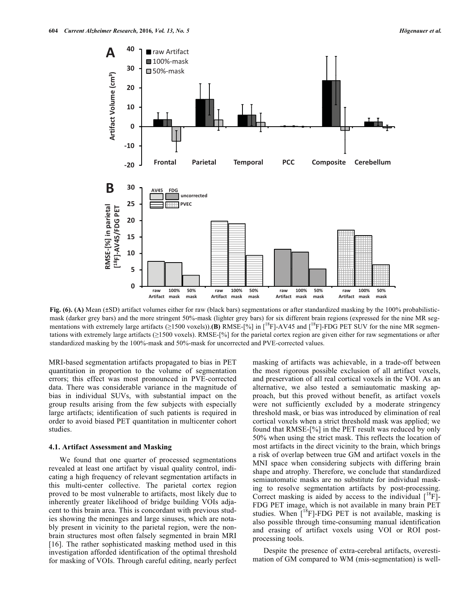

Fig. (6). (A) Mean (±SD) artifact volumes either for raw (black bars) segmentations or after standardized masking by the 100% probabilisticmask (darker grey bars) and the more stringent 50%-mask (lighter grey bars) for six different brain regions (expressed for the nine MR segmentations with extremely large artifacts (≥1500 voxels)).**(B)** RMSE-[%] in [<sup>18</sup>F]-AV45 and [<sup>18</sup>F]-FDG PET SUV for the nine MR segmentations with extremely large artifacts (≥1500 voxels). RMSE-[%] for the parietal cortex region are given either for raw segmentations or after standardized masking by the 100%-mask and 50%-mask for uncorrected and PVE-corrected values.

MRI-based segmentation artifacts propagated to bias in PET quantitation in proportion to the volume of segmentation errors; this effect was most pronounced in PVE-corrected data. There was considerable variance in the magnitude of bias in individual SUVs, with substantial impact on the group results arising from the few subjects with especially large artifacts; identification of such patients is required in order to avoid biased PET quantitation in multicenter cohort studies.

#### **4.1. Artifact Assessment and Masking**

We found that one quarter of processed segmentations revealed at least one artifact by visual quality control, indicating a high frequency of relevant segmentation artifacts in this multi-center collective. The parietal cortex region proved to be most vulnerable to artifacts, most likely due to inherently greater likelihood of bridge building VOIs adjacent to this brain area. This is concordant with previous studies showing the meninges and large sinuses, which are notably present in vicinity to the parietal region, were the nonbrain structures most often falsely segmented in brain MRI [16]. The rather sophisticated masking method used in this investigation afforded identification of the optimal threshold for masking of VOIs. Through careful editing, nearly perfect masking of artifacts was achievable, in a trade-off between the most rigorous possible exclusion of all artifact voxels, and preservation of all real cortical voxels in the VOI. As an alternative, we also tested a semiautomatic masking approach, but this proved without benefit, as artifact voxels were not sufficiently excluded by a moderate stringency threshold mask, or bias was introduced by elimination of real cortical voxels when a strict threshold mask was applied; we found that RMSE-[%] in the PET result was reduced by only 50% when using the strict mask. This reflects the location of most artifacts in the direct vicinity to the brain, which brings a risk of overlap between true GM and artifact voxels in the MNI space when considering subjects with differing brain shape and atrophy. Therefore, we conclude that standardized semiautomatic masks are no substitute for individual masking to resolve segmentation artifacts by post-processing. Correct masking is aided by access to the individual  $\binom{18}{1}$ -FDG PET image, which is not available in many brain PET studies. When  $\left[1^8F\right]$ -FDG PET is not available, masking is also possible through time-consuming manual identification and erasing of artifact voxels using VOI or ROI postprocessing tools.

Despite the presence of extra-cerebral artifacts, overestimation of GM compared to WM (mis-segmentation) is well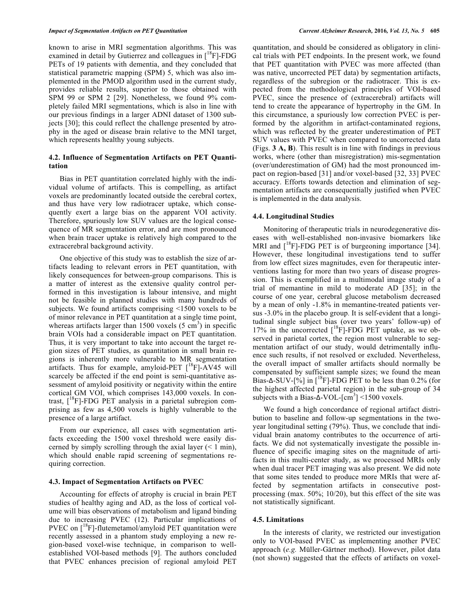known to arise in MRI segmentation algorithms. This was examined in detail by Gutierrez and colleagues in  $\binom{18}{1}$ -FDG PETs of 19 patients with dementia, and they concluded that statistical parametric mapping (SPM) 5, which was also implemented in the PMOD algorithm used in the current study, provides reliable results, superior to those obtained with SPM 99 or SPM 2 [29]. Nonetheless, we found 9% completely failed MRI segmentations, which is also in line with our previous findings in a larger ADNI dataset of 1300 subjects [30]; this could reflect the challenge presented by atrophy in the aged or disease brain relative to the MNI target, which represents healthy young subjects.

## **4.2. Influence of Segmentation Artifacts on PET Quantitation**

Bias in PET quantitation correlated highly with the individual volume of artifacts. This is compelling, as artifact voxels are predominantly located outside the cerebral cortex, and thus have very low radiotracer uptake, which consequently exert a large bias on the apparent VOI activity. Therefore, spuriously low SUV values are the logical consequence of MR segmentation error, and are most pronounced when brain tracer uptake is relatively high compared to the extracerebral background activity.

One objective of this study was to establish the size of artifacts leading to relevant errors in PET quantitation, with likely consequences for between-group comparisons. This is a matter of interest as the extensive quality control performed in this investigation is labour intensive, and might not be feasible in planned studies with many hundreds of subjects. We found artifacts comprising <1500 voxels to be of minor relevance in PET quantitation at a single time point, whereas artifacts larger than 1500 voxels  $(5 \text{ cm}^3)$  in specific brain VOIs had a considerable impact on PET quantitation. Thus, it is very important to take into account the target region sizes of PET studies, as quantitation in small brain regions is inherently more vulnerable to MR segmentation artifacts. Thus for example, amyloid-PET  $\int^8 F$ ]-AV45 will scarcely be affected if the end point is semi-quantitative assessment of amyloid positivity or negativity within the entire cortical GM VOI, which comprises 143,000 voxels. In contrast,  $[{}^{18}F]$ -FDG PET analysis in a parietal subregion comprising as few as 4,500 voxels is highly vulnerable to the presence of a large artifact.

From our experience, all cases with segmentation artifacts exceeding the 1500 voxel threshold were easily discerned by simply scrolling through the axial layer  $(< 1$  min), which should enable rapid screening of segmentations requiring correction.

#### **4.3. Impact of Segmentation Artifacts on PVEC**

Accounting for effects of atrophy is crucial in brain PET studies of healthy aging and AD, as the loss of cortical volume will bias observations of metabolism and ligand binding due to increasing PVEC (12). Particular implications of PVEC on  $[$ <sup>18</sup>F]-flutemetamol/amyloid PET quantitation were recently assessed in a phantom study employing a new region-based voxel-wise technique, in comparison to wellestablished VOI-based methods [9]. The authors concluded that PVEC enhances precision of regional amyloid PET

quantitation, and should be considered as obligatory in clinical trials with PET endpoints. In the present work, we found that PET quantitation with PVEC was more affected (than was native, uncorrected PET data) by segmentation artifacts, regardless of the subregion or the radiotracer. This is expected from the methodological principles of VOI-based PVEC, since the presence of (extracerebral) artifacts will tend to create the appearance of hypertrophy in the GM. In this circumstance, a spuriously low correction PVEC is performed by the algorithm in artifact-contaminated regions, which was reflected by the greater underestimation of PET SUV values with PVEC when compared to uncorrected data (Figs. **3 A, B**). This result is in line with findings in previous works, where (other than misregistration) mis-segmentation (over/underestimation of GM) had the most pronounced impact on region-based [31] and/or voxel-based [32, 33] PVEC accuracy. Efforts towards detection and elimination of segmentation artifacts are consequentially justified when PVEC is implemented in the data analysis.

# **4.4. Longitudinal Studies**

Monitoring of therapeutic trials in neurodegenerative diseases with well-established non-invasive biomarkers like MRI and  $[18F]$ -FDG PET is of burgeoning importance [34]. However, these longitudinal investigations tend to suffer from low effect sizes magnitudes, even for therapeutic interventions lasting for more than two years of disease progression. This is exemplified in a multimodal image study of a trial of memantine in mild to moderate AD [35]; in the course of one year, cerebral glucose metabolism decreased by a mean of only -1.8% in memantine-treated patients versus -3.0% in the placebo group. It is self-evident that a longitudinal single subject bias (over two years' follow-up) of 17% in the uncorrected  $[{}^{18}F]$ -FDG PET uptake, as we observed in parietal cortex, the region most vulnerable to segmentation artifact of our study, would detrimentally influence such results, if not resolved or excluded. Nevertheless, the overall impact of smaller artifacts should normally be compensated by sufficient sample sizes; we found the mean Bias- $\Delta$ -SUV-[%] in [<sup>18</sup>F]-FDG PET to be less than 0.2% (for the highest affected parietal region) in the sub-group of 34 subjects with a Bias- $\Delta$ -VOL-[cm<sup>3</sup>] <1500 voxels.

We found a high concordance of regional artifact distribution to baseline and follow-up segmentations in the twoyear longitudinal setting (79%). Thus, we conclude that individual brain anatomy contributes to the occurrence of artifacts. We did not systematically investigate the possible influence of specific imaging sites on the magnitude of artifacts in this multi-center study, as we processed MRIs only when dual tracer PET imaging was also present. We did note that some sites tended to produce more MRIs that were affected by segmentation artifacts in consecutive postprocessing (max. 50%; 10/20), but this effect of the site was not statistically significant.

#### **4.5. Limitations**

In the interests of clarity, we restricted our investigation only to VOI-based PVEC as implementing another PVEC approach (*e.g.* Müller-Gärtner method). However, pilot data (not shown) suggested that the effects of artifacts on voxel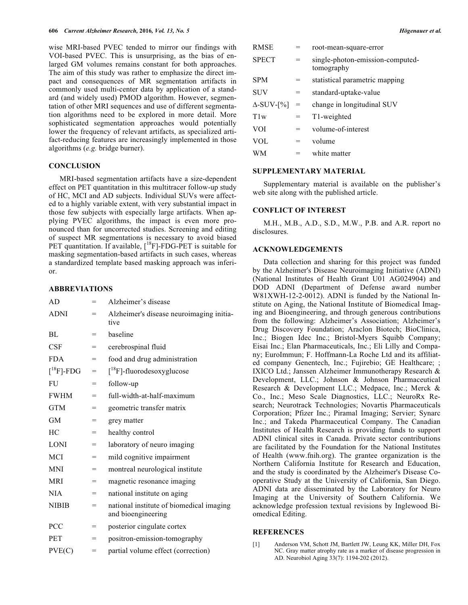wise MRI-based PVEC tended to mirror our findings with VOI-based PVEC. This is unsurprising, as the bias of enlarged GM volumes remains constant for both approaches. The aim of this study was rather to emphasize the direct impact and consequences of MR segmentation artifacts in commonly used multi-center data by application of a standard (and widely used) PMOD algorithm. However, segmentation of other MRI sequences and use of different segmentation algorithms need to be explored in more detail. More sophisticated segmentation approaches would potentially lower the frequency of relevant artifacts, as specialized artifact-reducing features are increasingly implemented in those algorithms (*e.g.* bridge burner).

## **CONCLUSION**

MRI-based segmentation artifacts have a size-dependent effect on PET quantitation in this multitracer follow-up study of HC, MCI and AD subjects. Individual SUVs were affected to a highly variable extent, with very substantial impact in those few subjects with especially large artifacts. When applying PVEC algorithms, the impact is even more pronounced than for uncorrected studies. Screening and editing of suspect MR segmentations is necessary to avoid biased PET quantitation. If available,  $[^{18}F]$ -FDG-PET is suitable for masking segmentation-based artifacts in such cases, whereas a standardized template based masking approach was inferior.

# **ABBREVIATIONS**

| AD                            | $=$ | Alzheimer's disease                                            |
|-------------------------------|-----|----------------------------------------------------------------|
| <b>ADNI</b>                   | $=$ | Alzheimer's disease neuroimaging initia-<br>tive               |
| BL                            | $=$ | baseline                                                       |
| <b>CSF</b>                    | =   | cerebrospinal fluid                                            |
| <b>FDA</b>                    | $=$ | food and drug administration                                   |
| $\lceil$ <sup>18</sup> F]-FDG | $=$ | $[{}^{18}F]$ -fluorodesoxyglucose                              |
| <b>FU</b>                     | $=$ | follow-up                                                      |
| <b>FWHM</b>                   | $=$ | full-width-at-half-maximum                                     |
| <b>GTM</b>                    | $=$ | geometric transfer matrix                                      |
| <b>GM</b>                     | =   | grey matter                                                    |
| HC                            | $=$ | healthy control                                                |
| <b>LONI</b>                   | $=$ | laboratory of neuro imaging                                    |
| MCI                           | $=$ | mild cognitive impairment                                      |
| <b>MNI</b>                    | $=$ | montreal neurological institute                                |
| <b>MRI</b>                    | $=$ | magnetic resonance imaging                                     |
| <b>NIA</b>                    | $=$ | national institute on aging                                    |
| <b>NIBIB</b>                  | $=$ | national institute of biomedical imaging<br>and bioengineering |
| PCC                           | $=$ | posterior cingulate cortex                                     |
| <b>PET</b>                    | $=$ | positron-emission-tomography                                   |
| PVE(C)                        | =   | partial volume effect (correction)                             |

| RMSE              |                                   | root-mean-square-error                         |
|-------------------|-----------------------------------|------------------------------------------------|
| SPECT             | $=$                               | single-photon-emission-computed-<br>tomography |
| SPM               | $=$                               | statistical parametric mapping                 |
| SUV               | $=$                               | standard-uptake-value                          |
| $\Delta$ -SUV-[%] | $\hspace{1.6cm} = \hspace{1.6cm}$ | change in longitudinal SUV                     |
| Tlw               | $=$                               | T1-weighted                                    |
| VOI               | $=$                               | volume-of-interest                             |
| VOL               | $=$                               | volume                                         |
| WМ                |                                   | white matter                                   |

#### **SUPPLEMENTARY MATERIAL**

Supplementary material is available on the publisher's web site along with the published article.

# **CONFLICT OF INTEREST**

M.H., M.B., A.D., S.D., M.W., P.B. and A.R. report no disclosures.

# **ACKNOWLEDGEMENTS**

Data collection and sharing for this project was funded by the Alzheimer's Disease Neuroimaging Initiative (ADNI) (National Institutes of Health Grant U01 AG024904) and DOD ADNI (Department of Defense award number W81XWH-12-2-0012). ADNI is funded by the National Institute on Aging, the National Institute of Biomedical Imaging and Bioengineering, and through generous contributions from the following: Alzheimer's Association; Alzheimer's Drug Discovery Foundation; Araclon Biotech; BioClinica, Inc.; Biogen Idec Inc.; Bristol-Myers Squibb Company; Eisai Inc.; Elan Pharmaceuticals, Inc.; Eli Lilly and Company; EuroImmun; F. Hoffmann-La Roche Ltd and its affiliated company Genentech, Inc.; Fujirebio; GE Healthcare; ; IXICO Ltd.; Janssen Alzheimer Immunotherapy Research & Development, LLC.; Johnson & Johnson Pharmaceutical Research & Development LLC.; Medpace, Inc.; Merck & Co., Inc.; Meso Scale Diagnostics, LLC.; NeuroRx Research; Neurotrack Technologies; Novartis Pharmaceuticals Corporation; Pfizer Inc.; Piramal Imaging; Servier; Synarc Inc.; and Takeda Pharmaceutical Company. The Canadian Institutes of Health Research is providing funds to support ADNI clinical sites in Canada. Private sector contributions are facilitated by the Foundation for the National Institutes of Health (www.fnih.org). The grantee organization is the Northern California Institute for Research and Education, and the study is coordinated by the Alzheimer's Disease Cooperative Study at the University of California, San Diego. ADNI data are disseminated by the Laboratory for Neuro Imaging at the University of Southern California. We acknowledge profession textual revisions by Inglewood Biomedical Editing.

#### **REFERENCES**

[1] Anderson VM, Schott JM, Bartlett JW, Leung KK, Miller DH, Fox NC. Gray matter atrophy rate as a marker of disease progression in AD. Neurobiol Aging 33(7): 1194-202 (2012).